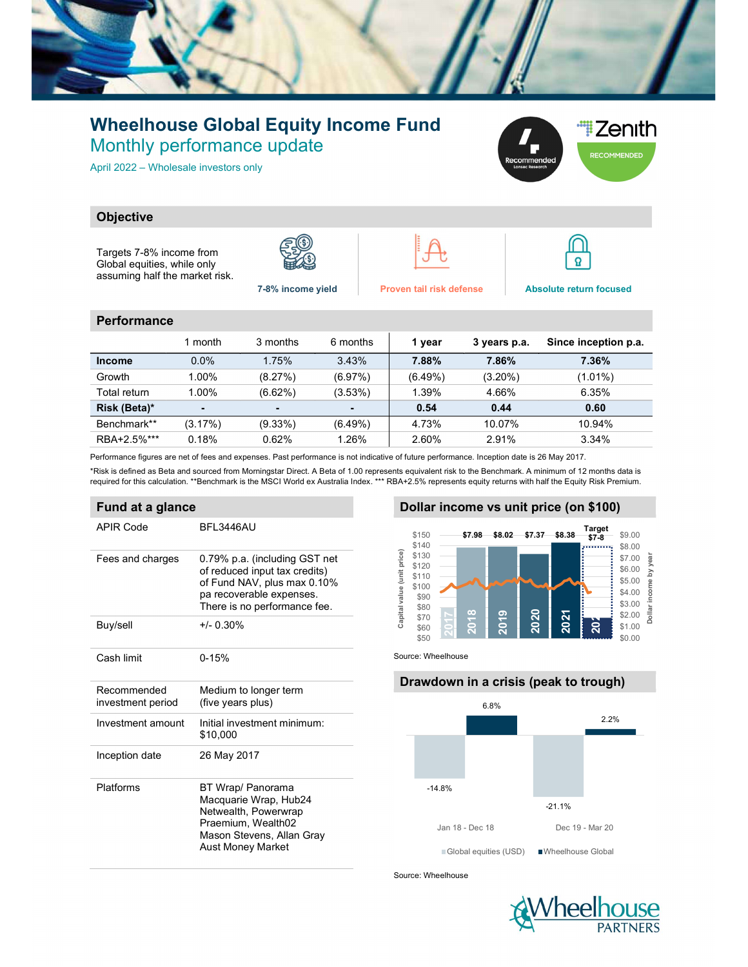

## Wheelhouse Global Equity Income Fund Monthly performance update

April 2022 – Wholesale investors only



**Objective** 

Targets 7-8% income from Global equities, while only assuming half the market risk.







7-8% income yield Proven tail risk defense Absolute return focused

 $\boldsymbol{\Omega}$ 

## **Performance**

|               | l month.       | 3 months   | 6 months | 1 year     | 3 years p.a. | Since inception p.a. |
|---------------|----------------|------------|----------|------------|--------------|----------------------|
| <b>Income</b> | $0.0\%$        | 1.75%      | 3.43%    | 7.88%      | 7.86%        | 7.36%                |
| Growth        | 1.00%          | (8.27%)    | (6.97%)  | $(6.49\%)$ | $(3.20\%)$   | $(1.01\%)$           |
| Total return  | 1.00%          | $(6.62\%)$ | (3.53%)  | 1.39%      | 4.66%        | 6.35%                |
| Risk (Beta)*  | $\blacksquare$ |            |          | 0.54       | 0.44         | 0.60                 |
| Benchmark**   | (3.17%)        | $(9.33\%)$ | (6.49%)  | 4.73%      | 10.07%       | 10.94%               |
| RBA+2.5%***   | 0.18%          | 0.62%      | 1.26%    | 2.60%      | 2.91%        | 3.34%                |

Performance figures are net of fees and expenses. Past performance is not indicative of future performance. Inception date is 26 May 2017.

\*Risk is defined as Beta and sourced from Morningstar Direct. A Beta of 1.00 represents equivalent risk to the Benchmark. A minimum of 12 months data is required for this calculation. \*\*Benchmark is the MSCI World ex Australia Index. \*\*\* RBA+2.5% represents equity returns with half the Equity Risk Premium.

## Fund at a glance

| APIR Code                        | BFL3446AU                                                                                                                                                 |  |  |  |  |  |
|----------------------------------|-----------------------------------------------------------------------------------------------------------------------------------------------------------|--|--|--|--|--|
| Fees and charges                 | 0.79% p.a. (including GST net<br>of reduced input tax credits)<br>of Fund NAV, plus max 0.10%<br>pa recoverable expenses.<br>There is no performance fee. |  |  |  |  |  |
| Buy/sell                         | $+/- 0.30\%$                                                                                                                                              |  |  |  |  |  |
| Cash limit                       | $0 - 15%$                                                                                                                                                 |  |  |  |  |  |
| Recommended<br>investment period | Medium to longer term<br>(five years plus)                                                                                                                |  |  |  |  |  |
| Investment amount                | Initial investment minimum:<br>\$10.000                                                                                                                   |  |  |  |  |  |
| Inception date                   | 26 May 2017                                                                                                                                               |  |  |  |  |  |
| Platforms                        | BT Wrap/ Panorama<br>Macquarie Wrap, Hub24<br>Netwealth, Powerwrap<br>Praemium, Wealth02<br>Mason Stevens, Allan Gray<br><b>Aust Money Market</b>         |  |  |  |  |  |

## Dollar income vs unit price (on \$100)



Source: Wheelhouse

# Drawdown in a crisis (peak to trough) -14.8% -21.1% 6.8% 2.2% 17.98 \$8.02 \$7.37 \$8.38 Target \$9.00<br>
\$7.98 \$8.02 \$7.37 \$8.38 Target<br>
\$7.99 \$9.00<br>
\$7.99 \$9.00<br>
\$7.99 \$9.00<br>
\$7.99 \$9.00<br>
\$7.99 \$9.00<br>
\$7.99 \$9.00<br>
\$7.90 \$9.00<br>
\$8.99<br>
\$9.00<br>
\$8.99<br> **Example 18 - Dec 19 - Mar 20**<br>
<br> **Exam** Global equities (USD) Wheelhouse Global

Source: Wheelhouse